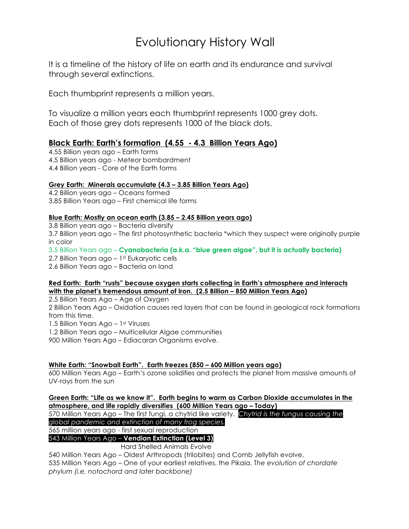# Evolutionary History Wall

It is a timeline of the history of life on earth and its endurance and survival through several extinctions.

Each thumbprint represents a million years.

To visualize a million years each thumbprint represents 1000 grey dots. Each of those grey dots represents 1000 of the black dots.

## **Black Earth: Earth's formation (4.55 - 4.3 Billion Years Ago)**

4.55 Billion years ago – Earth forms 4.5 Billion years ago - Meteor bombardment 4.4 Billion years - Core of the Earth forms

### **Grey Earth: Minerals accumulate (4.3 – 3.85 Billion Years Ago)**

4.2 Billion years ago – Oceans formed 3.85 Billion Years ago – First chemical life forms

### **Blue Earth: Mostly an ocean earth (3.85 – 2.45 Billion years ago)**

3.8 Billion years ago – Bacteria diversify 3.7 Billion years ago – The first photosynthetic bacteria \*which they suspect were originally purple in color 3.5 Billion Years ago – **Cyanobacteria (a.k.a. "blue green algae", but it is actually bacteria)** 2.7 Billion Years ago - 1<sup>st</sup> Eukaryotic cells 2.6 Billion Years ago – Bacteria on land

### **Red Earth: Earth "rusts" because oxygen starts collecting in Earth's atmosphere and interacts with the planet's tremendous amount of Iron. (2.5 Billion – 850 Million Years Ago)**

2.5 Billion Years Ago – Age of Oxygen 2 Billion Years Ago – Oxidation causes red layers that can be found in geological rock formations from this time. 1.5 Billion Years Ago – 1st Viruses 1.2 Billion Years ago – Multicellular Algae communities 900 Million Years Ago – Ediacaran Organisms evolve.

**White Earth: "Snowball Earth". Earth freezes (850 – 600 Million years ago)**

600 Million Years Ago – Earth's ozone solidifies and protects the planet from massive amounts of UV-rays from the sun

**Green Earth: "Life as we know it". Earth begins to warm as Carbon Dioxide accumulates in the atmosphere, and life rapidly diversifies (600 Million Years ago – Today)** 570 Million Years Ago – The first fungi, a chytrid like variety. *Chytrid is the fungus causing the global pandemic and extinction of many frog species.*  565 million years ago - first sexual reproduction 543 Million Years Ago – **Vendian Extinction (Level 3)** Hard Shelled Animals Evolve

540 Million Years Ago – Oldest Arthropods (trilobites) and Comb Jellyfish evolve. 535 Million Years Ago – One of your earliest relatives, the Pikaia. T*he evolution of chordate phylum (i.e. notochord and later backbone)*